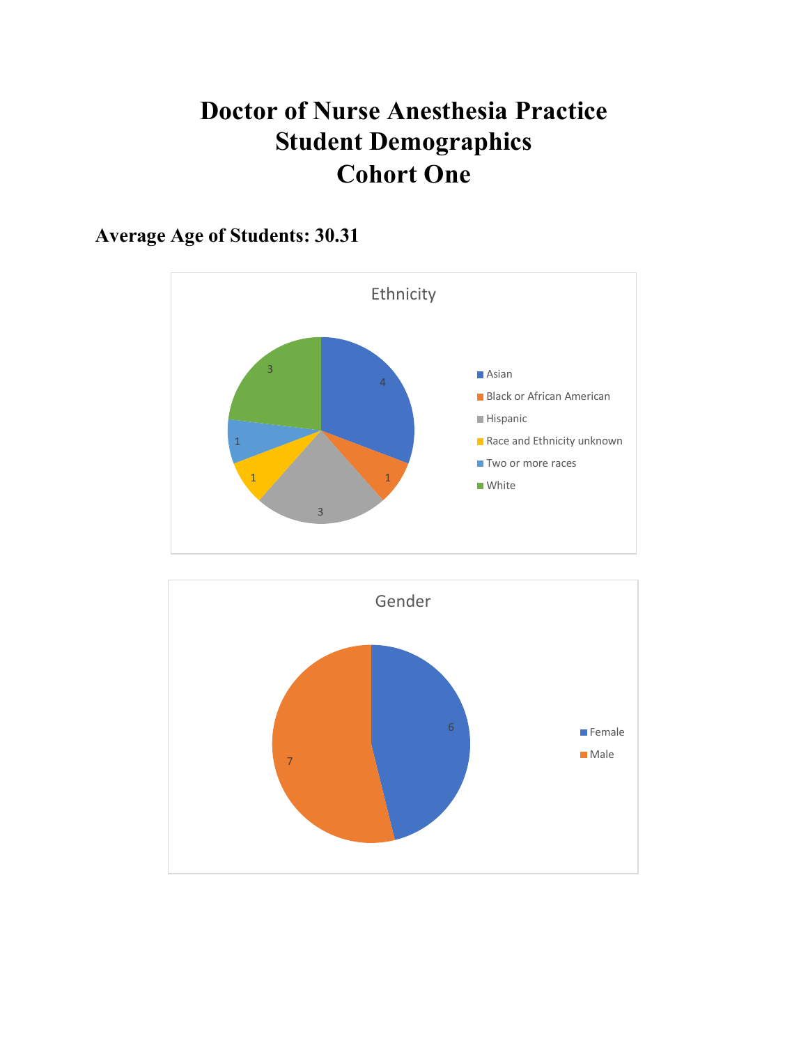# **Doctor of Nurse Anesthesia Practice Student Demographics Cohort One**

**Average Age of Students: 30.31**



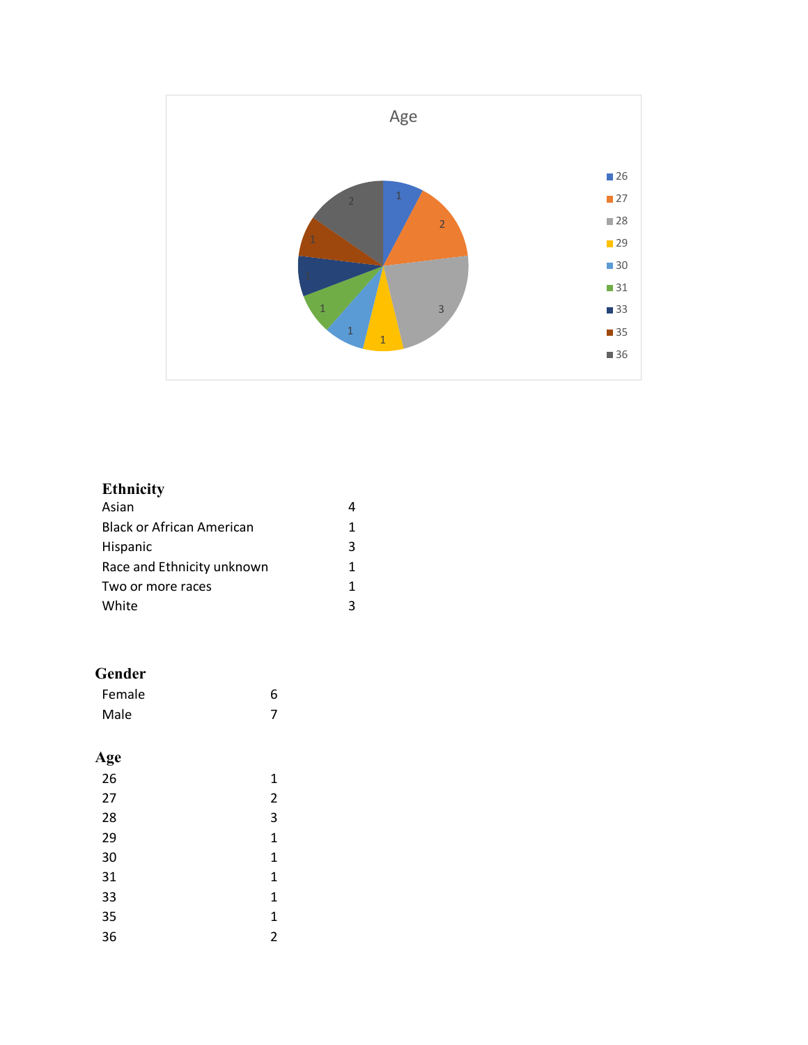

## **Ethnicity**

| Asian                            |   |
|----------------------------------|---|
| <b>Black or African American</b> | 1 |
| Hispanic                         | 3 |
| Race and Ethnicity unknown       | 1 |
| Two or more races                | 1 |
| White                            | ς |

### **Gender**

| Female | 6 |
|--------|---|
| Male   | ⇁ |

### **Age**

| 26 | 1              |
|----|----------------|
| 27 | $\overline{2}$ |
| 28 | 3              |
| 29 | 1              |
| 30 | 1              |
| 31 | 1              |
| 33 | 1              |
| 35 | 1              |
| 36 | $\overline{2}$ |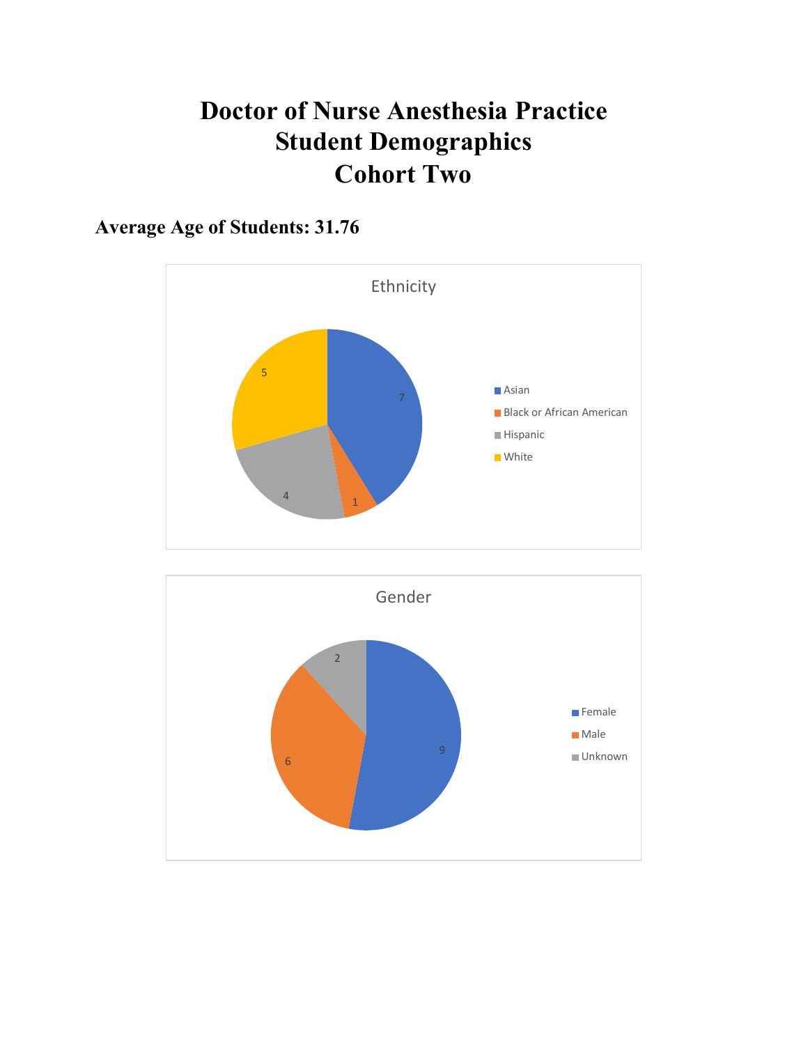# **Doctor of Nurse Anesthesia Practice Student Demographics Cohort Two**

## **Average Age of Students: 31.76**